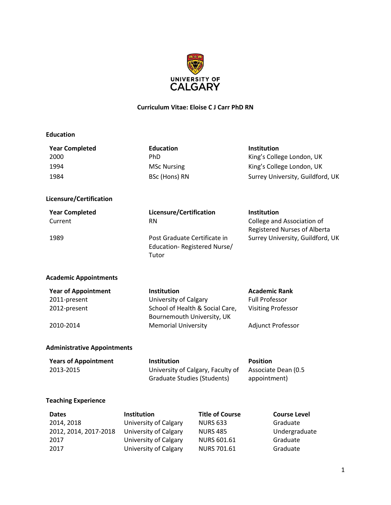

#### **Curriculum Vitae: Eloise C J Carr PhD RN**

| <b>Year Completed</b><br><b>Education</b> |                            |                                                                         | <b>Institution</b>                                                |
|-------------------------------------------|----------------------------|-------------------------------------------------------------------------|-------------------------------------------------------------------|
| 2000                                      | PhD                        |                                                                         | King's College London, UK                                         |
| 1994                                      | <b>MSc Nursing</b>         |                                                                         | King's College London, UK                                         |
| 1984                                      | BSc (Hons) RN              |                                                                         | Surrey University, Guildford, UK                                  |
| Licensure/Certification                   |                            |                                                                         |                                                                   |
| <b>Year Completed</b>                     |                            | Licensure/Certification                                                 | <b>Institution</b>                                                |
| Current                                   | <b>RN</b>                  |                                                                         | College and Association of<br><b>Registered Nurses of Alberta</b> |
| 1989                                      | Tutor                      | Post Graduate Certificate in<br>Education-Registered Nurse/             | Surrey University, Guildford, UK                                  |
| <b>Academic Appointments</b>              |                            |                                                                         |                                                                   |
| <b>Year of Appointment</b>                | Institution                |                                                                         | <b>Academic Rank</b>                                              |
| 2011-present                              | University of Calgary      |                                                                         | <b>Full Professor</b>                                             |
| 2012-present                              |                            | School of Health & Social Care,                                         | <b>Visiting Professor</b>                                         |
|                                           |                            | Bournemouth University, UK                                              |                                                                   |
| 2010-2014                                 | <b>Memorial University</b> |                                                                         | Adjunct Professor                                                 |
| <b>Administrative Appointments</b>        |                            |                                                                         |                                                                   |
| <b>Years of Appointment</b>               | Institution                |                                                                         | <b>Position</b>                                                   |
| 2013-2015                                 |                            | University of Calgary, Faculty of<br><b>Graduate Studies (Students)</b> | Associate Dean (0.5<br>appointment)                               |
| <b>Teaching Experience</b>                |                            |                                                                         |                                                                   |
| <b>Dates</b>                              | <b>Institution</b>         | <b>Title of Course</b>                                                  | <b>Course Level</b>                                               |

| <b>Dates</b>          | <b>Institution</b>    | <b>Title of Course</b> | <b>Course Level</b> |
|-----------------------|-----------------------|------------------------|---------------------|
| 2014, 2018            | University of Calgary | <b>NURS 633</b>        | Graduate            |
| 2012, 2014, 2017-2018 | University of Calgary | <b>NURS 485</b>        | Undergraduate       |
| 2017                  | University of Calgary | <b>NURS 601.61</b>     | Graduate            |
| 2017                  | University of Calgary | <b>NURS 701.61</b>     | Graduate            |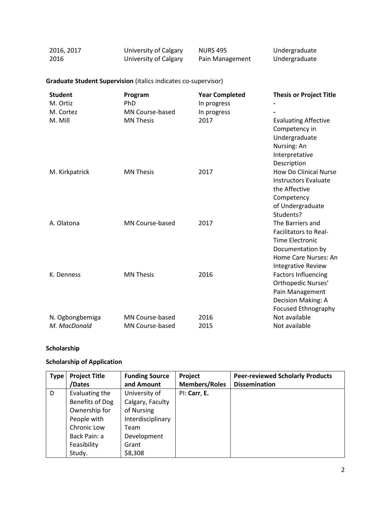| 2016, 2017 | University of Calgary | <b>NURS 495</b> | Undergraduate |
|------------|-----------------------|-----------------|---------------|
| 2016       | University of Calgary | Pain Management | Undergraduate |

#### **Graduate Student Supervision** (italics indicates co-supervisor)

| <b>Student</b>  | Program                | <b>Year Completed</b> | <b>Thesis or Project Title</b> |
|-----------------|------------------------|-----------------------|--------------------------------|
| M. Ortiz        | <b>PhD</b>             | In progress           |                                |
| M. Cortez       | <b>MN Course-based</b> | In progress           |                                |
| M. Mill         | <b>MN Thesis</b>       | 2017                  | <b>Evaluating Affective</b>    |
|                 |                        |                       | Competency in                  |
|                 |                        |                       | Undergraduate                  |
|                 |                        |                       | Nursing: An                    |
|                 |                        |                       | Interpretative                 |
|                 |                        |                       | Description                    |
| M. Kirkpatrick  | <b>MN Thesis</b>       | 2017                  | How Do Clinical Nurse          |
|                 |                        |                       | <b>Instructors Evaluate</b>    |
|                 |                        |                       | the Affective                  |
|                 |                        |                       | Competency                     |
|                 |                        |                       | of Undergraduate               |
|                 |                        |                       | Students?                      |
| A. Olatona      | MN Course-based        | 2017                  | The Barriers and               |
|                 |                        |                       | <b>Facilitators to Real-</b>   |
|                 |                        |                       | <b>Time Electronic</b>         |
|                 |                        |                       | Documentation by               |
|                 |                        |                       | Home Care Nurses: An           |
|                 |                        |                       | <b>Integrative Review</b>      |
| K. Denness      | <b>MN Thesis</b>       | 2016                  | <b>Factors Influencing</b>     |
|                 |                        |                       | Orthopedic Nurses'             |
|                 |                        |                       | Pain Management                |
|                 |                        |                       | Decision Making: A             |
|                 |                        |                       | <b>Focused Ethnography</b>     |
| N. Ogbongbemiga | MN Course-based        | 2016                  | Not available                  |
| M. MacDonald    | MN Course-based        | 2015                  | Not available                  |

# **Scholarship**

#### **Scholarship of Application**

| <b>Type</b> | <b>Project Title</b> | <b>Funding Source</b> | Project              | <b>Peer-reviewed Scholarly Products</b> |
|-------------|----------------------|-----------------------|----------------------|-----------------------------------------|
|             | /Dates               | and Amount            | <b>Members/Roles</b> | <b>Dissemination</b>                    |
| D           | Evaluating the       | University of         | PI: Carr, E.         |                                         |
|             | Benefits of Dog      | Calgary, Faculty      |                      |                                         |
|             | Ownership for        | of Nursing            |                      |                                         |
|             | People with          | Interdisciplinary     |                      |                                         |
|             | Chronic Low          | Team                  |                      |                                         |
|             | Back Pain: a         | Development           |                      |                                         |
|             | Feasibility          | Grant                 |                      |                                         |
|             | Study.               | \$8,308               |                      |                                         |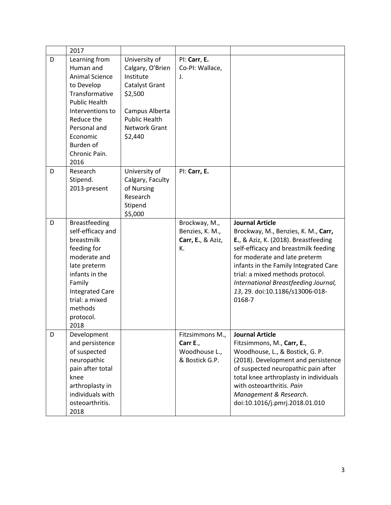|   | 2017                                                                                                                                                                                                            |                                                                                                                                                   |                                                                |                                                                                                                                                                                                                                                                                                                                                  |
|---|-----------------------------------------------------------------------------------------------------------------------------------------------------------------------------------------------------------------|---------------------------------------------------------------------------------------------------------------------------------------------------|----------------------------------------------------------------|--------------------------------------------------------------------------------------------------------------------------------------------------------------------------------------------------------------------------------------------------------------------------------------------------------------------------------------------------|
| D | Learning from<br>Human and<br><b>Animal Science</b><br>to Develop<br>Transformative<br><b>Public Health</b><br>Interventions to<br>Reduce the<br>Personal and<br>Economic<br>Burden of<br>Chronic Pain.<br>2016 | University of<br>Calgary, O'Brien<br>Institute<br>Catalyst Grant<br>\$2,500<br>Campus Alberta<br><b>Public Health</b><br>Network Grant<br>\$2,440 | PI: Carr, E.<br>Co-PI: Wallace,<br>J.                          |                                                                                                                                                                                                                                                                                                                                                  |
| D | Research<br>Stipend.<br>2013-present                                                                                                                                                                            | University of<br>Calgary, Faculty<br>of Nursing<br>Research<br>Stipend<br>\$5,000                                                                 | PI: Carr, E.                                                   |                                                                                                                                                                                                                                                                                                                                                  |
| D | <b>Breastfeeding</b><br>self-efficacy and<br>breastmilk<br>feeding for<br>moderate and<br>late preterm<br>infants in the<br>Family<br><b>Integrated Care</b><br>trial: a mixed<br>methods<br>protocol.<br>2018  |                                                                                                                                                   | Brockway, M.,<br>Benzies, K. M.,<br>Carr, E., & Aziz,<br>К.    | <b>Journal Article</b><br>Brockway, M., Benzies, K. M., Carr,<br>E., & Aziz, K. (2018). Breastfeeding<br>self-efficacy and breastmilk feeding<br>for moderate and late preterm<br>infants in the Family Integrated Care<br>trial: a mixed methods protocol.<br>International Breastfeeding Journal,<br>13, 29. doi:10.1186/s13006-018-<br>0168-7 |
| D | Development<br>and persistence<br>of suspected<br>neuropathic<br>pain after total<br>knee<br>arthroplasty in<br>individuals with<br>osteoarthritis.<br>2018                                                     |                                                                                                                                                   | Fitzsimmons M.,<br>Carr E.,<br>Woodhouse L.,<br>& Bostick G.P. | <b>Journal Article</b><br>Fitzsimmons, M., Carr, E.,<br>Woodhouse, L., & Bostick, G. P.<br>(2018). Development and persistence<br>of suspected neuropathic pain after<br>total knee arthroplasty in individuals<br>with osteoarthritis. Pain<br>Management & Research.<br>doi:10.1016/j.pmrj.2018.01.010                                         |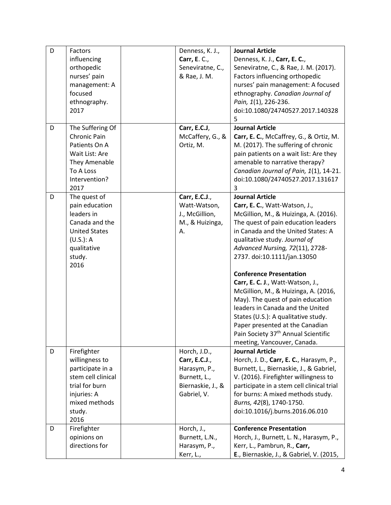| D | Factors<br>influencing                                                                                                                      | Denness, K. J.,<br>Carr, E. C.,                                                                   | <b>Journal Article</b><br>Denness, K. J., Carr, E. C.,                                                                                                                                                                                                                                                                                                                                                                                                                                                                                                                                                                              |
|---|---------------------------------------------------------------------------------------------------------------------------------------------|---------------------------------------------------------------------------------------------------|-------------------------------------------------------------------------------------------------------------------------------------------------------------------------------------------------------------------------------------------------------------------------------------------------------------------------------------------------------------------------------------------------------------------------------------------------------------------------------------------------------------------------------------------------------------------------------------------------------------------------------------|
|   | orthopedic<br>nurses' pain<br>management: A<br>focused<br>ethnography.<br>2017                                                              | Seneviratne, C.,<br>& Rae, J. M.                                                                  | Seneviratne, C., & Rae, J. M. (2017).<br>Factors influencing orthopedic<br>nurses' pain management: A focused<br>ethnography. Canadian Journal of<br>Pain, 1(1), 226-236.<br>doi:10.1080/24740527.2017.140328                                                                                                                                                                                                                                                                                                                                                                                                                       |
| D | The Suffering Of                                                                                                                            | Carr, E.C.J,                                                                                      | 5<br><b>Journal Article</b>                                                                                                                                                                                                                                                                                                                                                                                                                                                                                                                                                                                                         |
|   | Chronic Pain<br>Patients On A<br>Wait List: Are<br>They Amenable<br>To A Loss<br>Intervention?<br>2017                                      | McCaffery, G., &<br>Ortiz, M.                                                                     | Carr, E. C., McCaffrey, G., & Ortiz, M.<br>M. (2017). The suffering of chronic<br>pain patients on a wait list: Are they<br>amenable to narrative therapy?<br>Canadian Journal of Pain, 1(1), 14-21.<br>doi:10.1080/24740527.2017.131617<br>3                                                                                                                                                                                                                                                                                                                                                                                       |
| D | The quest of<br>pain education<br>leaders in<br>Canada and the<br><b>United States</b><br>(U.S.): A<br>qualitative<br>study.<br>2016        | Carr, E.C.J.,<br>Watt-Watson,<br>J., McGillion,<br>M., & Huizinga,<br>Α.                          | <b>Journal Article</b><br>Carr, E. C., Watt-Watson, J.,<br>McGillion, M., & Huizinga, A. (2016).<br>The quest of pain education leaders<br>in Canada and the United States: A<br>qualitative study. Journal of<br>Advanced Nursing, 72(11), 2728-<br>2737. doi:10.1111/jan.13050<br><b>Conference Presentation</b><br>Carr, E. C. J., Watt-Watson, J.,<br>McGillion, M., & Huizinga, A. (2016,<br>May). The quest of pain education<br>leaders in Canada and the United<br>States (U.S.): A qualitative study.<br>Paper presented at the Canadian<br>Pain Society 37 <sup>th</sup> Annual Scientific<br>meeting, Vancouver, Canada. |
| D | Firefighter<br>willingness to<br>participate in a<br>stem cell clinical<br>trial for burn<br>injuries: A<br>mixed methods<br>study.<br>2016 | Horch, J.D.,<br>Carr, E.C.J.,<br>Harasym, P.,<br>Burnett, L.,<br>Biernaskie, J., &<br>Gabriel, V. | <b>Journal Article</b><br>Horch, J. D., Carr, E. C., Harasym, P.,<br>Burnett, L., Biernaskie, J., & Gabriel,<br>V. (2016). Firefighter willingness to<br>participate in a stem cell clinical trial<br>for burns: A mixed methods study.<br>Burns, 42(8), 1740-1750.<br>doi:10.1016/j.burns.2016.06.010                                                                                                                                                                                                                                                                                                                              |
| D | Firefighter<br>opinions on<br>directions for                                                                                                | Horch, J.,<br>Burnett, L.N.,<br>Harasym, P.,<br>Kerr, L.,                                         | <b>Conference Presentation</b><br>Horch, J., Burnett, L. N., Harasym, P.,<br>Kerr, L., Pambrun, R., Carr,<br>E., Biernaskie, J., & Gabriel, V. (2015,                                                                                                                                                                                                                                                                                                                                                                                                                                                                               |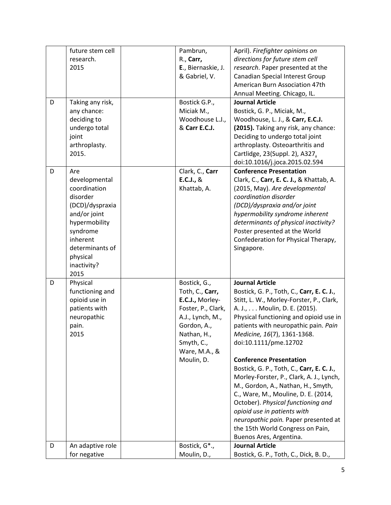|   | future stem cell    | Pambrun,                   | April). Firefighter opinions on           |
|---|---------------------|----------------------------|-------------------------------------------|
|   | research.           | R., Carr,                  | directions for future stem cell           |
|   | 2015                | E., Biernaskie, J.         | research. Paper presented at the          |
|   |                     | & Gabriel, V.              | Canadian Special Interest Group           |
|   |                     |                            | American Burn Association 47th            |
|   |                     |                            | Annual Meeting. Chicago, IL.              |
| D | Taking any risk,    | Bostick G.P.,              | <b>Journal Article</b>                    |
|   | any chance:         | Miciak M.,                 | Bostick, G. P., Miciak, M.,               |
|   | deciding to         | Woodhouse L.J.,            | Woodhouse, L. J., & Carr, E.C.J.          |
|   | undergo total       | & Carr E.C.J.              | (2015). Taking any risk, any chance:      |
|   | joint               |                            | Deciding to undergo total joint           |
|   | arthroplasty.       |                            | arthroplasty. Osteoarthritis and          |
|   | 2015.               |                            | Cartlidge, 23(Suppl. 2), A327.            |
|   |                     |                            | doi:10.1016/j.joca.2015.02.594            |
| D | Are                 | Clark, C., Carr            | <b>Conference Presentation</b>            |
|   | developmental       | E.C.J., &                  | Clark, C., Carr, E. C. J., & Khattab, A.  |
|   | coordination        | Khattab, A.                | (2015, May). Are developmental            |
|   | disorder            |                            | coordination disorder                     |
|   | (DCD)/dyspraxia     |                            | (DCD)/dyspraxia and/or joint              |
|   | and/or joint        |                            | hypermobility syndrome inherent           |
|   | hypermobility       |                            | determinants of physical inactivity?      |
|   | syndrome            |                            |                                           |
|   | inherent            |                            | Poster presented at the World             |
|   |                     |                            | Confederation for Physical Therapy,       |
|   | determinants of     |                            | Singapore.                                |
|   | physical            |                            |                                           |
|   | inactivity?<br>2015 |                            |                                           |
| D |                     |                            | <b>Journal Article</b>                    |
|   | Physical            | Bostick, G.,               |                                           |
|   | functioning and     | Toth, C., Carr,            | Bostick, G. P., Toth, C., Carr, E. C. J., |
|   | opioid use in       | E.C.J., Morley-            | Stitt, L. W., Morley-Forster, P., Clark,  |
|   | patients with       | Foster, P., Clark,         | A. J., Moulin, D. E. (2015).              |
|   | neuropathic         | A.J., Lynch, M.,           | Physical functioning and opioid use in    |
|   | pain.               | Gordon, A.,                | patients with neuropathic pain. Pain      |
|   | 2015                | Nathan, H.,                | Medicine, 16(7), 1361-1368.               |
|   |                     | Smyth, C.,                 | doi:10.1111/pme.12702                     |
|   |                     | Ware, M.A., &              |                                           |
|   |                     | Moulin, D.                 | <b>Conference Presentation</b>            |
|   |                     |                            | Bostick, G. P., Toth, C., Carr, E. C. J., |
|   |                     |                            | Morley-Forster, P., Clark, A. J., Lynch,  |
|   |                     |                            | M., Gordon, A., Nathan, H., Smyth,        |
|   |                     |                            | C., Ware, M., Mouline, D. E. (2014,       |
|   |                     |                            | October). Physical functioning and        |
|   |                     |                            | opioid use in patients with               |
|   |                     |                            | neuropathic pain. Paper presented at      |
|   |                     |                            | the 15th World Congress on Pain,          |
|   |                     |                            | Buenos Ares, Argentina.                   |
| D | An adaptive role    | Bostick, G <sup>*</sup> ., | <b>Journal Article</b>                    |
|   | for negative        | Moulin, D.,                | Bostick, G. P., Toth, C., Dick, B. D.,    |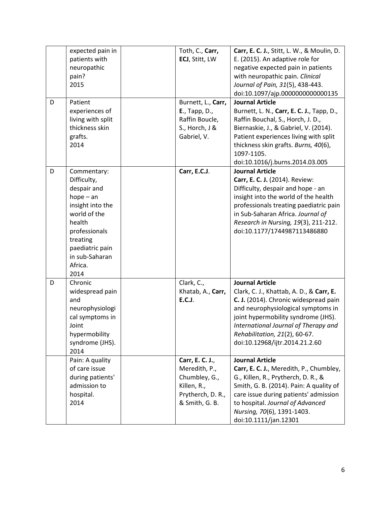| D | expected pain in<br>patients with<br>neuropathic<br>pain?<br>2015<br>Patient<br>experiences of<br>living with split<br>thickness skin<br>grafts.<br>2014                     | Toth, C., Carr,<br>ECJ, Stitt, LW<br>Burnett, L., Carr,<br>E., Tapp, D.,<br>Raffin Boucle,<br>S., Horch, J &<br>Gabriel, V. | Carr, E. C. J., Stitt, L. W., & Moulin, D.<br>E. (2015). An adaptive role for<br>negative expected pain in patients<br>with neuropathic pain. Clinical<br>Journal of Pain, 31(5), 438-443.<br>doi:10.1097/ajp.0000000000000135<br><b>Journal Article</b><br>Burnett, L. N., Carr, E. C. J., Tapp, D.,<br>Raffin Bouchal, S., Horch, J. D.,<br>Biernaskie, J., & Gabriel, V. (2014).<br>Patient experiences living with split<br>thickness skin grafts. Burns, 40(6), |
|---|------------------------------------------------------------------------------------------------------------------------------------------------------------------------------|-----------------------------------------------------------------------------------------------------------------------------|----------------------------------------------------------------------------------------------------------------------------------------------------------------------------------------------------------------------------------------------------------------------------------------------------------------------------------------------------------------------------------------------------------------------------------------------------------------------|
| D | Commentary:                                                                                                                                                                  | Carr, E.C.J.                                                                                                                | 1097-1105.<br>doi:10.1016/j.burns.2014.03.005<br><b>Journal Article</b>                                                                                                                                                                                                                                                                                                                                                                                              |
|   | Difficulty,<br>despair and<br>$hope - an$<br>insight into the<br>world of the<br>health<br>professionals<br>treating<br>paediatric pain<br>in sub-Saharan<br>Africa.<br>2014 |                                                                                                                             | Carr, E. C. J. (2014). Review:<br>Difficulty, despair and hope - an<br>insight into the world of the health<br>professionals treating paediatric pain<br>in Sub-Saharan Africa. Journal of<br>Research in Nursing, 19(3), 211-212.<br>doi:10.1177/1744987113486880                                                                                                                                                                                                   |
| D | Chronic<br>widespread pain<br>and<br>neurophysiologi<br>cal symptoms in<br>Joint<br>hypermobility<br>syndrome (JHS).<br>2014                                                 | Clark, C.,<br>Khatab, A., Carr,<br><b>E.C.J.</b>                                                                            | <b>Journal Article</b><br>Clark, C. J., Khattab, A. D., & Carr, E.<br>C. J. (2014). Chronic widespread pain<br>and neurophysiological symptoms in<br>joint hypermobility syndrome (JHS).<br>International Journal of Therapy and<br>Rehabilitation, 21(2), 60-67.<br>doi:10.12968/ijtr.2014.21.2.60                                                                                                                                                                  |
|   | Pain: A quality<br>of care issue<br>during patients'<br>admission to<br>hospital.<br>2014                                                                                    | Carr, E. C. J.,<br>Meredith, P.,<br>Chumbley, G.,<br>Killen, R.,<br>Prytherch, D. R.,<br>& Smith, G. B.                     | <b>Journal Article</b><br>Carr, E. C. J., Meredith, P., Chumbley,<br>G., Killen, R., Prytherch, D. R., &<br>Smith, G. B. (2014). Pain: A quality of<br>care issue during patients' admission<br>to hospital. Journal of Advanced<br>Nursing, 70(6), 1391-1403.<br>doi:10.1111/jan.12301                                                                                                                                                                              |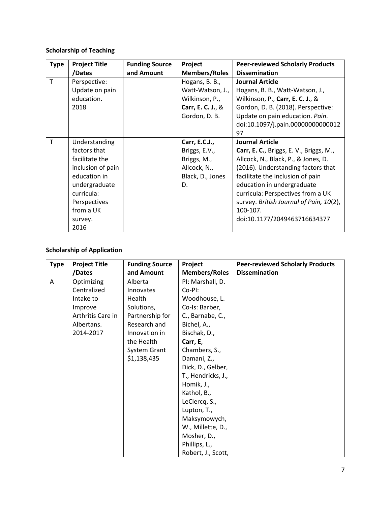# **Scholarship of Teaching**

| <b>Type</b> | <b>Project Title</b> | <b>Funding Source</b> | Project              | <b>Peer-reviewed Scholarly Products</b> |
|-------------|----------------------|-----------------------|----------------------|-----------------------------------------|
|             | /Dates               | and Amount            | <b>Members/Roles</b> | <b>Dissemination</b>                    |
| T           | Perspective:         |                       | Hogans, B. B.,       | <b>Journal Article</b>                  |
|             | Update on pain       |                       | Watt-Watson, J.,     | Hogans, B. B., Watt-Watson, J.,         |
|             | education.           |                       | Wilkinson, P.,       | Wilkinson, P., Carr, E. C. J., &        |
|             | 2018                 |                       | Carr, E. C. J., &    | Gordon, D. B. (2018). Perspective:      |
|             |                      |                       | Gordon, D. B.        | Update on pain education. Pain.         |
|             |                      |                       |                      | doi:10.1097/j.pain.00000000000012       |
|             |                      |                       |                      | 97                                      |
| т           | Understanding        |                       | Carr, E.C.J.,        | <b>Journal Article</b>                  |
|             | factors that         |                       | Briggs, E.V.,        | Carr, E. C., Briggs, E. V., Briggs, M., |
|             | facilitate the       |                       | Briggs, M.,          | Allcock, N., Black, P., & Jones, D.     |
|             | inclusion of pain    |                       | Allcock, N.,         | (2016). Understanding factors that      |
|             | education in         |                       | Black, D., Jones     | facilitate the inclusion of pain        |
|             | undergraduate        |                       | D.                   | education in undergraduate              |
|             | curricula:           |                       |                      | curricula: Perspectives from a UK       |
|             | Perspectives         |                       |                      | survey. British Journal of Pain, 10(2), |
|             | from a UK            |                       |                      | 100-107.                                |
|             | survey.              |                       |                      | doi:10.1177/2049463716634377            |
|             | 2016                 |                       |                      |                                         |

# **Scholarship of Application**

| <b>Type</b> | <b>Project Title</b> | <b>Funding Source</b> | Project              | <b>Peer-reviewed Scholarly Products</b> |
|-------------|----------------------|-----------------------|----------------------|-----------------------------------------|
|             | /Dates               | and Amount            | <b>Members/Roles</b> | <b>Dissemination</b>                    |
| A           | Optimizing           | Alberta               | PI: Marshall, D.     |                                         |
|             | Centralized          | Innovates             | Co-PI:               |                                         |
|             | Intake to            | Health                | Woodhouse, L.        |                                         |
|             | Improve              | Solutions,            | Co-Is: Barber,       |                                         |
|             | Arthritis Care in    | Partnership for       | C., Barnabe, C.,     |                                         |
|             | Albertans.           | Research and          | Bichel, A.,          |                                         |
|             | 2014-2017            | Innovation in         | Bischak, D.,         |                                         |
|             |                      | the Health            | Carr, E,             |                                         |
|             |                      | <b>System Grant</b>   | Chambers, S.,        |                                         |
|             |                      | \$1,138,435           | Damani, Z.,          |                                         |
|             |                      |                       | Dick, D., Gelber,    |                                         |
|             |                      |                       | T., Hendricks, J.,   |                                         |
|             |                      |                       | Homik, J.,           |                                         |
|             |                      |                       | Kathol, B.,          |                                         |
|             |                      |                       | LeClercq, S.,        |                                         |
|             |                      |                       | Lupton, T.,          |                                         |
|             |                      |                       | Maksymowych,         |                                         |
|             |                      |                       | W., Millette, D.,    |                                         |
|             |                      |                       | Mosher, D.,          |                                         |
|             |                      |                       | Phillips, L.,        |                                         |
|             |                      |                       | Robert, J., Scott,   |                                         |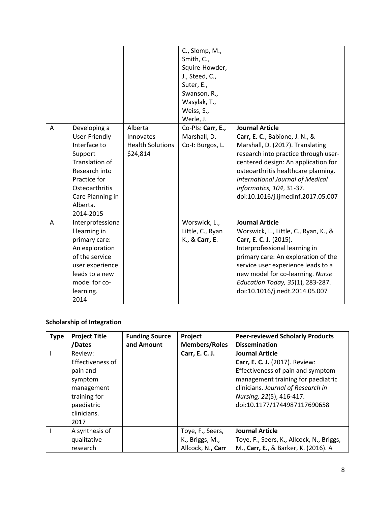|   |                                                                                                                                                                            |                                                             | C., Slomp, M.,<br>Smith, C.,<br>Squire-Howder,<br>J., Steed, C.,<br>Suter, E.,<br>Swanson, R.,<br>Wasylak, T.,<br>Weiss, S.,<br>Werle, J. |                                                                                                                                                                                                                                                                                                                                  |
|---|----------------------------------------------------------------------------------------------------------------------------------------------------------------------------|-------------------------------------------------------------|-------------------------------------------------------------------------------------------------------------------------------------------|----------------------------------------------------------------------------------------------------------------------------------------------------------------------------------------------------------------------------------------------------------------------------------------------------------------------------------|
| A | Developing a<br>User-Friendly<br>Interface to<br>Support<br>Translation of<br>Research into<br>Practice for<br>Osteoarthritis<br>Care Planning in<br>Alberta.<br>2014-2015 | Alberta<br>Innovates<br><b>Health Solutions</b><br>\$24,814 | Co-Pls: Carr, E.,<br>Marshall, D.<br>Co-I: Burgos, L.                                                                                     | <b>Journal Article</b><br><b>Carr, E. C.</b> , Babione, J. N., &<br>Marshall, D. (2017). Translating<br>research into practice through user-<br>centered design: An application for<br>osteoarthritis healthcare planning.<br>International Journal of Medical<br>Informatics, 104, 31-37.<br>doi:10.1016/j.ijmedinf.2017.05.007 |
| A | Interprofessiona<br>I learning in<br>primary care:<br>An exploration<br>of the service<br>user experience<br>leads to a new<br>model for co-<br>learning.<br>2014          |                                                             | Worswick, L.,<br>Little, C., Ryan<br>K., & Carr, E.                                                                                       | <b>Journal Article</b><br>Worswick, L., Little, C., Ryan, K., &<br>Carr, E. C. J. (2015).<br>Interprofessional learning in<br>primary care: An exploration of the<br>service user experience leads to a<br>new model for co-learning. Nurse<br>Education Today, 35(1), 283-287.<br>doi:10.1016/j.nedt.2014.05.007                |

# **Scholarship of Integration**

| <b>Type</b> | <b>Project Title</b><br>/Dates                                                                                        | <b>Funding Source</b><br>and Amount | Project<br><b>Members/Roles</b>                          | <b>Peer-reviewed Scholarly Products</b><br><b>Dissemination</b>                                                                                                                                                                       |
|-------------|-----------------------------------------------------------------------------------------------------------------------|-------------------------------------|----------------------------------------------------------|---------------------------------------------------------------------------------------------------------------------------------------------------------------------------------------------------------------------------------------|
|             | Review:<br>Effectiveness of<br>pain and<br>symptom<br>management<br>training for<br>paediatric<br>clinicians.<br>2017 |                                     | Carr, E. C. J.                                           | <b>Journal Article</b><br>Carr, E. C. J. (2017). Review:<br>Effectiveness of pain and symptom<br>management training for paediatric<br>clinicians. Journal of Research in<br>Nursing, 22(5), 416-417.<br>doi:10.1177/1744987117690658 |
|             | A synthesis of<br>qualitative<br>research                                                                             |                                     | Toye, F., Seers,<br>K., Briggs, M.,<br>Allcock, N., Carr | <b>Journal Article</b><br>Toye, F., Seers, K., Allcock, N., Briggs,<br>M., Carr, E., & Barker, K. (2016). A                                                                                                                           |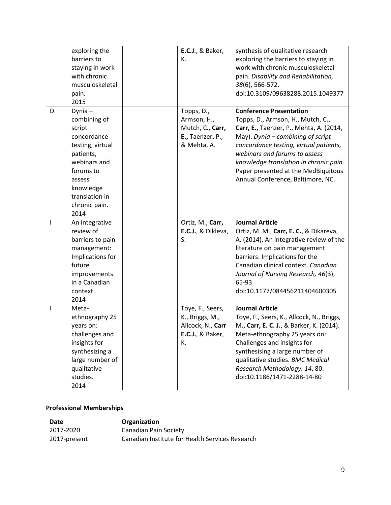|   | exploring the<br>barriers to<br>staying in work<br>with chronic<br>musculoskeletal<br>pain.<br>2015                                                                                   | <b>E.C.J., &amp; Baker,</b><br>К.                                                          | synthesis of qualitative research<br>exploring the barriers to staying in<br>work with chronic musculoskeletal<br>pain. Disability and Rehabilitation,<br>38(6), 566-572.<br>doi:10.3109/09638288.2015.1049377                                                                                                                                         |
|---|---------------------------------------------------------------------------------------------------------------------------------------------------------------------------------------|--------------------------------------------------------------------------------------------|--------------------------------------------------------------------------------------------------------------------------------------------------------------------------------------------------------------------------------------------------------------------------------------------------------------------------------------------------------|
| D | $D$ ynia $-$<br>combining of<br>script<br>concordance<br>testing, virtual<br>patients,<br>webinars and<br>forums to<br>assess<br>knowledge<br>translation in<br>chronic pain.<br>2014 | Topps, D.,<br>Armson, H.,<br>Mutch, C., Carr,<br>E., Taenzer, P.,<br>& Mehta, A.           | <b>Conference Presentation</b><br>Topps, D., Armson, H., Mutch, C.,<br>Carr, E., Taenzer, P., Mehta, A. (2014,<br>May). Dynia $-$ combining of script<br>concordance testing, virtual patients,<br>webinars and forums to assess<br>knowledge translation in chronic pain.<br>Paper presented at the MedBiquitous<br>Annual Conference, Baltimore, NC. |
| ı | An integrative<br>review of<br>barriers to pain<br>management:<br>Implications for<br>future<br>improvements<br>in a Canadian<br>context.<br>2014                                     | Ortiz, M., Carr,<br>E.C.J., & Dikleva,<br>S.                                               | <b>Journal Article</b><br>Ortiz, M. M., Carr, E. C., & Dikareva,<br>A. (2014). An integrative review of the<br>literature on pain management<br>barriers: Implications for the<br>Canadian clinical context. Canadian<br>Journal of Nursing Research, 46(3),<br>65-93.<br>doi:10.1177/084456211404600305                                               |
| T | Meta-<br>ethnography 25<br>years on:<br>challenges and<br>insights for<br>synthesizing a<br>large number of<br>qualitative<br>studies.<br>2014                                        | Toye, F., Seers,<br>K., Briggs, M.,<br>Allcock, N., Carr<br><b>E.C.J.</b> , & Baker,<br>К. | <b>Journal Article</b><br>Toye, F., Seers, K., Allcock, N., Briggs,<br>M., Carr, E. C. J., & Barker, K. (2014).<br>Meta-ethnography 25 years on:<br>Challenges and insights for<br>synthesising a large number of<br>qualitative studies. BMC Medical<br>Research Methodology, 14, 80.<br>doi:10.1186/1471-2288-14-80                                  |

#### **Professional Memberships**

| Date         | Organization                                    |
|--------------|-------------------------------------------------|
| 2017-2020    | Canadian Pain Society                           |
| 2017-present | Canadian Institute for Health Services Research |